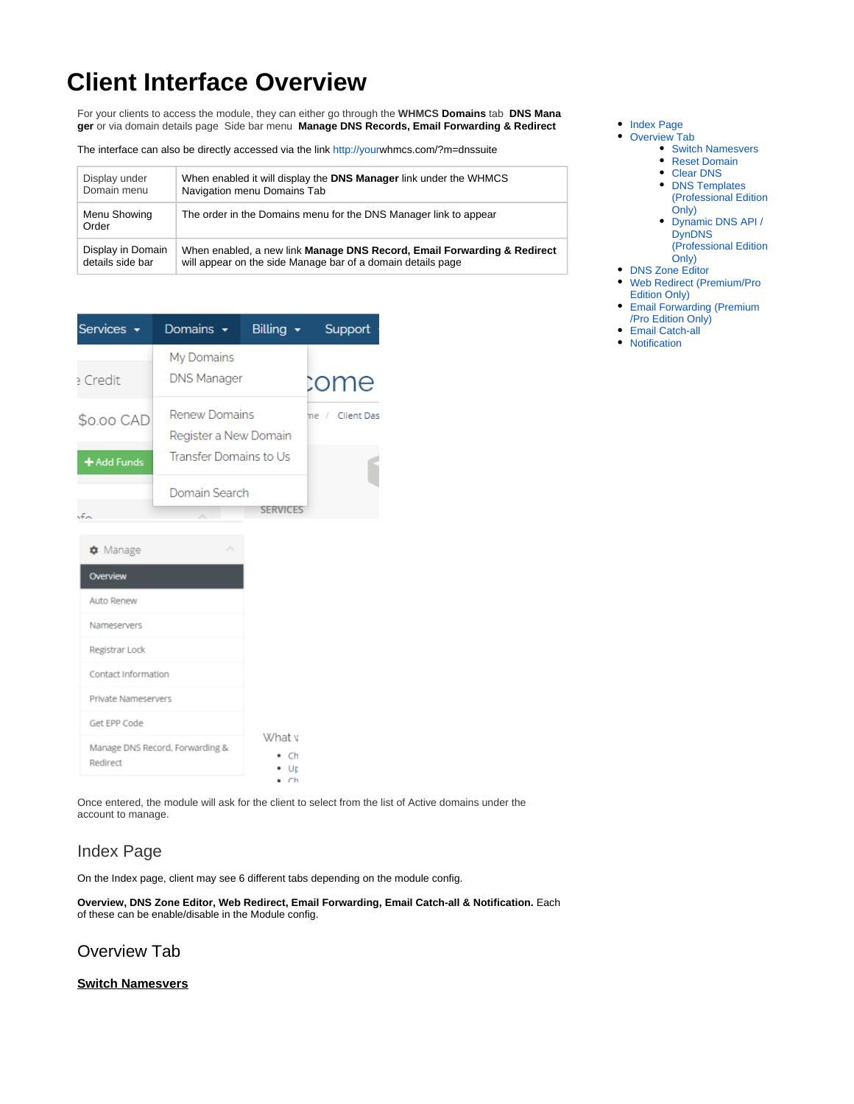# **Client Interface Overview**

For your clients to access the module, they can either go through the **WHMCS Domains** tab **DNS Mana ger** or via domain details page Side bar menu **Manage DNS Records, Email Forwarding & Redirect**

The interface can also be directly accessed via the link <http://your>whmcs.com/?m=dnssuite

| Display in Domain     | When enabled, a new link Manage DNS Record, Email Forwarding & Redirect  |
|-----------------------|--------------------------------------------------------------------------|
| details side bar      | will appear on the side Manage bar of a domain details page              |
| Menu Showing<br>Order | The order in the Domains menu for the DNS Manager link to appear         |
| Display under         | When enabled it will display the <b>DNS Manager</b> link under the WHMCS |
| Domain menu           | Navigation menu Domains Tab                                              |

| Services -  | Domains $\sim$                         | Billing $\sim$ | Support         |
|-------------|----------------------------------------|----------------|-----------------|
| e Crediti   | My Domains<br><b>DNS Manager</b>       |                | come            |
| \$0.00 CAD  | Renew Domains<br>Register a New Domain |                | me / Client Das |
| + Add Funds | Transfer Domains to Us                 |                |                 |
| تصاحبه      | Domain Search                          |                |                 |

| <b>*</b> Manage<br>人                        |                  |
|---------------------------------------------|------------------|
| Overview                                    |                  |
| Auto Renew                                  |                  |
| Nameservers                                 |                  |
| Registrar Lock                              |                  |
| Contact Information                         |                  |
| <b>Private Nameservers</b>                  |                  |
| Get EPP Code                                | What v           |
| Manage DNS Record, Forwarding &<br>Redirect | - Ch<br>Ur<br>Сh |

Once entered, the module will ask for the client to select from the list of Active domains under the account to manage.

# Index Page

On the Index page, client may see 6 different tabs depending on the module config.

**Overview, DNS Zone Editor, Web Redirect, Email Forwarding, Email Catch-all & Notification.** Each of these can be enable/disable in the Module config.

## Overview Tab

#### **Switch Namesvers**

- [Index Page](https://docs.codebox.ca/display/WDS/Client+Interface+Overview#ClientInterfaceOverview-IndexPage)
- [Overview Tab](https://docs.codebox.ca/display/WDS/Client+Interface+Overview#ClientInterfaceOverview-OverviewTab)
	- **[Switch Namesvers](https://docs.codebox.ca/display/WDS/Client+Interface+Overview#ClientInterfaceOverview-SwitchNamesvers)** 
		- [Reset Domain](https://docs.codebox.ca/display/WDS/Client+Interface+Overview#ClientInterfaceOverview-ResetDomain)
		- [Clear DNS](https://docs.codebox.ca/display/WDS/Client+Interface+Overview#ClientInterfaceOverview-ClearDNS)
		- **DNS Templates** [\(Professional Edition](https://docs.codebox.ca/display/WDS/Client+Interface+Overview#ClientInterfaceOverview-DNSTemplates(ProfessionalEditionOnly))  [Only\)](https://docs.codebox.ca/display/WDS/Client+Interface+Overview#ClientInterfaceOverview-DNSTemplates(ProfessionalEditionOnly))
		- [Dynamic DNS API /](https://docs.codebox.ca/display/WDS/Client+Interface+Overview#ClientInterfaceOverview-DynamicDNSAPI/DynDNS(ProfessionalEditionOnly))  **DynDNS** [\(Professional Edition](https://docs.codebox.ca/display/WDS/Client+Interface+Overview#ClientInterfaceOverview-DynamicDNSAPI/DynDNS(ProfessionalEditionOnly))
	- [Only\)](https://docs.codebox.ca/display/WDS/Client+Interface+Overview#ClientInterfaceOverview-DynamicDNSAPI/DynDNS(ProfessionalEditionOnly))
- [DNS Zone Editor](https://docs.codebox.ca/display/WDS/Client+Interface+Overview#ClientInterfaceOverview-DNSZoneEditor)
- [Web Redirect \(Premium/Pro](https://docs.codebox.ca/display/WDS/Client+Interface+Overview#ClientInterfaceOverview-WebRedirect(Premium/ProEditionOnly))
- [Edition Only\)](https://docs.codebox.ca/display/WDS/Client+Interface+Overview#ClientInterfaceOverview-WebRedirect(Premium/ProEditionOnly)) [Email Forwarding \(Premium](https://docs.codebox.ca/display/WDS/Client+Interface+Overview#ClientInterfaceOverview-EmailForwarding(Premium/ProEditionOnly))
- [/Pro Edition Only\)](https://docs.codebox.ca/display/WDS/Client+Interface+Overview#ClientInterfaceOverview-EmailForwarding(Premium/ProEditionOnly))
- [Email Catch-all](https://docs.codebox.ca/display/WDS/Client+Interface+Overview#ClientInterfaceOverview-EmailCatch-all)
- [Notification](https://docs.codebox.ca/display/WDS/Client+Interface+Overview#ClientInterfaceOverview-Notification)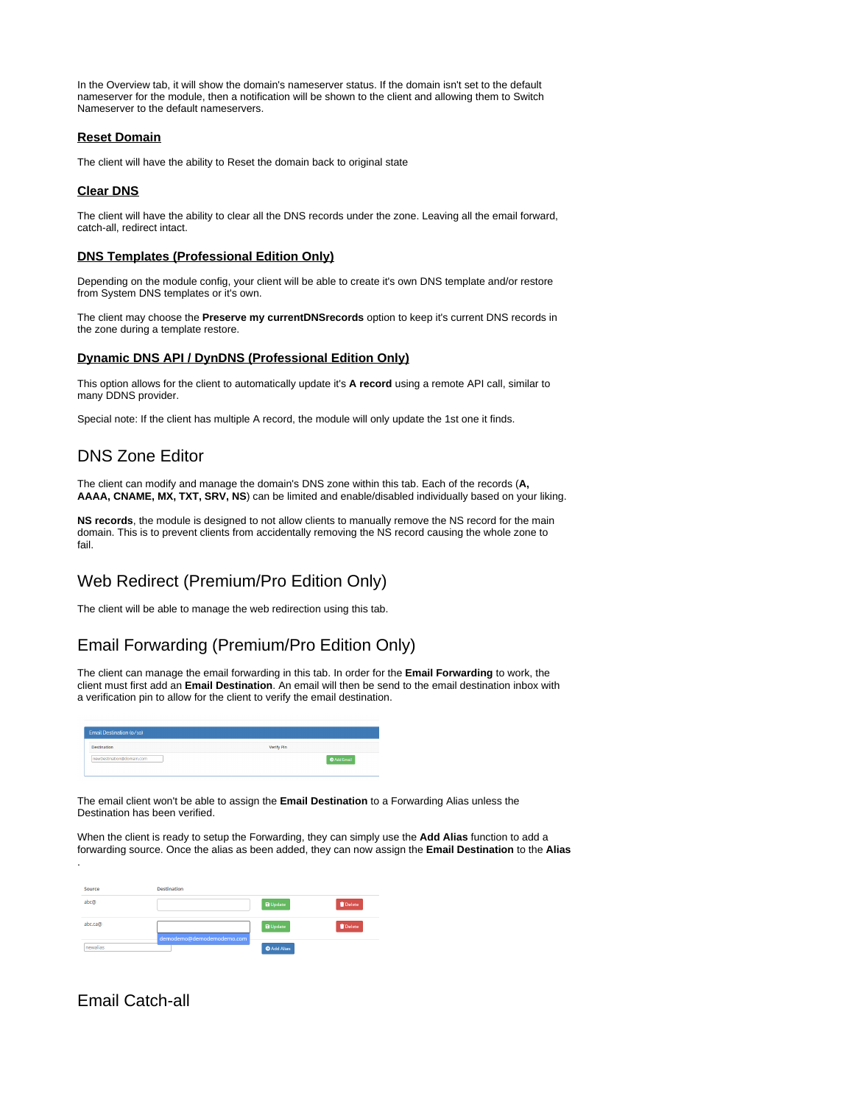In the Overview tab, it will show the domain's nameserver status. If the domain isn't set to the default nameserver for the module, then a notification will be shown to the client and allowing them to Switch Nameserver to the default nameservers.

#### **Reset Domain**

The client will have the ability to Reset the domain back to original state

#### **Clear DNS**

The client will have the ability to clear all the DNS records under the zone. Leaving all the email forward, catch-all, redirect intact.

#### **DNS Templates (Professional Edition Only)**

Depending on the module config, your client will be able to create it's own DNS template and/or restore from System DNS templates or it's own.

The client may choose the **Preserve my currentDNSrecords** option to keep it's current DNS records in the zone during a template restore.

#### **Dynamic DNS API / DynDNS (Professional Edition Only)**

This option allows for the client to automatically update it's **A record** using a remote API call, similar to many DDNS provider.

Special note: If the client has multiple A record, the module will only update the 1st one it finds.

# DNS Zone Editor

The client can modify and manage the domain's DNS zone within this tab. Each of the records (**A, AAAA, CNAME, MX, TXT, SRV, NS**) can be limited and enable/disabled individually based on your liking.

**NS records**, the module is designed to not allow clients to manually remove the NS record for the main domain. This is to prevent clients from accidentally removing the NS record causing the whole zone to fail.

## Web Redirect (Premium/Pro Edition Only)

The client will be able to manage the web redirection using this tab.

## Email Forwarding (Premium/Pro Edition Only)

The client can manage the email forwarding in this tab. In order for the **Email Forwarding** to work, the client must first add an **Email Destination**. An email will then be send to the email destination inbox with a verification pin to allow for the client to verify the email destination.

| <b>Destination</b>        | <b>Verify Pin</b> |  |
|---------------------------|-------------------|--|
| newDestination@domain.com | Add Email         |  |

The email client won't be able to assign the **Email Destination** to a Forwarding Alias unless the Destination has been verified.

When the client is ready to setup the Forwarding, they can simply use the **Add Alias** function to add a forwarding source. Once the alias as been added, they can now assign the **Email Destination** to the **Alias**

| Source   | <b>Destination</b>        |                    |        |
|----------|---------------------------|--------------------|--------|
| abc@     |                           | <b>a</b> Update    | Delete |
| abc.ca@  | demodemo@demodemodemo.com | <b>a</b> Update    | Delete |
| newalias |                           | <b>O</b> Add Alias |        |

## Email Catch-all

.